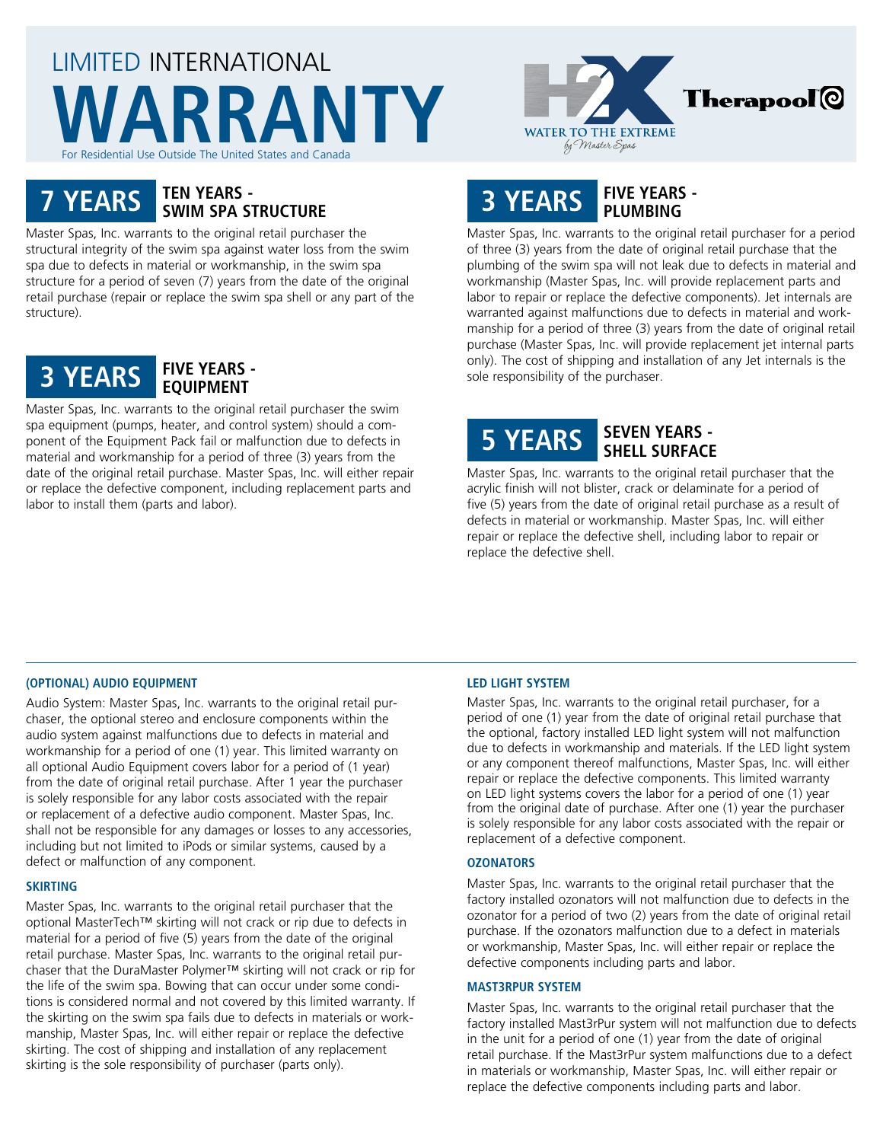# LIMITED INTERNATIONAL **WARRANTY** For Residential Use Outside The United States and Canada



# **7 YEARS TEN YEARS - SWIM SPA STRUCTURE**

Master Spas, Inc. warrants to the original retail purchaser the structural integrity of the swim spa against water loss from the swim spa due to defects in material or workmanship, in the swim spa structure for a period of seven (7) years from the date of the original retail purchase (repair or replace the swim spa shell or any part of the structure).



Master Spas, Inc. warrants to the original retail purchaser the swim spa equipment (pumps, heater, and control system) should a component of the Equipment Pack fail or malfunction due to defects in material and workmanship for a period of three (3) years from the date of the original retail purchase. Master Spas, Inc. will either repair or replace the defective component, including replacement parts and labor to install them (parts and labor).

# **3 YEARS FIVE YEARS - PLUMBING**

Master Spas, Inc. warrants to the original retail purchaser for a period of three (3) years from the date of original retail purchase that the plumbing of the swim spa will not leak due to defects in material and workmanship (Master Spas, Inc. will provide replacement parts and labor to repair or replace the defective components). Jet internals are warranted against malfunctions due to defects in material and workmanship for a period of three (3) years from the date of original retail purchase (Master Spas, Inc. will provide replacement jet internal parts only). The cost of shipping and installation of any Jet internals is the sole responsibility of the purchaser.

# **5 YEARS SEVEN YEARS - SHELL SURFACE**

Master Spas, Inc. warrants to the original retail purchaser that the acrylic finish will not blister, crack or delaminate for a period of five (5) years from the date of original retail purchase as a result of defects in material or workmanship. Master Spas, Inc. will either repair or replace the defective shell, including labor to repair or replace the defective shell.

## **(OPTIONAL) AUDIO EQUIPMENT**

Audio System: Master Spas, Inc. warrants to the original retail purchaser, the optional stereo and enclosure components within the audio system against malfunctions due to defects in material and workmanship for a period of one (1) year. This limited warranty on all optional Audio Equipment covers labor for a period of (1 year) from the date of original retail purchase. After 1 year the purchaser is solely responsible for any labor costs associated with the repair or replacement of a defective audio component. Master Spas, Inc. shall not be responsible for any damages or losses to any accessories, including but not limited to iPods or similar systems, caused by a defect or malfunction of any component.

#### **SKIRTING**

Master Spas, Inc. warrants to the original retail purchaser that the optional MasterTech™ skirting will not crack or rip due to defects in material for a period of five (5) years from the date of the original retail purchase. Master Spas, Inc. warrants to the original retail purchaser that the DuraMaster Polymer™ skirting will not crack or rip for the life of the swim spa. Bowing that can occur under some conditions is considered normal and not covered by this limited warranty. If the skirting on the swim spa fails due to defects in materials or workmanship, Master Spas, Inc. will either repair or replace the defective skirting. The cost of shipping and installation of any replacement skirting is the sole responsibility of purchaser (parts only).

#### **LED LIGHT SYSTEM**

Master Spas, Inc. warrants to the original retail purchaser, for a period of one (1) year from the date of original retail purchase that the optional, factory installed LED light system will not malfunction due to defects in workmanship and materials. If the LED light system or any component thereof malfunctions, Master Spas, Inc. will either repair or replace the defective components. This limited warranty on LED light systems covers the labor for a period of one (1) year from the original date of purchase. After one (1) year the purchaser is solely responsible for any labor costs associated with the repair or replacement of a defective component.

#### **OZONATORS**

Master Spas, Inc. warrants to the original retail purchaser that the factory installed ozonators will not malfunction due to defects in the ozonator for a period of two (2) years from the date of original retail purchase. If the ozonators malfunction due to a defect in materials or workmanship, Master Spas, Inc. will either repair or replace the defective components including parts and labor.

#### **MAST3RPUR SYSTEM**

Master Spas, Inc. warrants to the original retail purchaser that the factory installed Mast3rPur system will not malfunction due to defects in the unit for a period of one (1) year from the date of original retail purchase. If the Mast3rPur system malfunctions due to a defect in materials or workmanship, Master Spas, Inc. will either repair or replace the defective components including parts and labor.